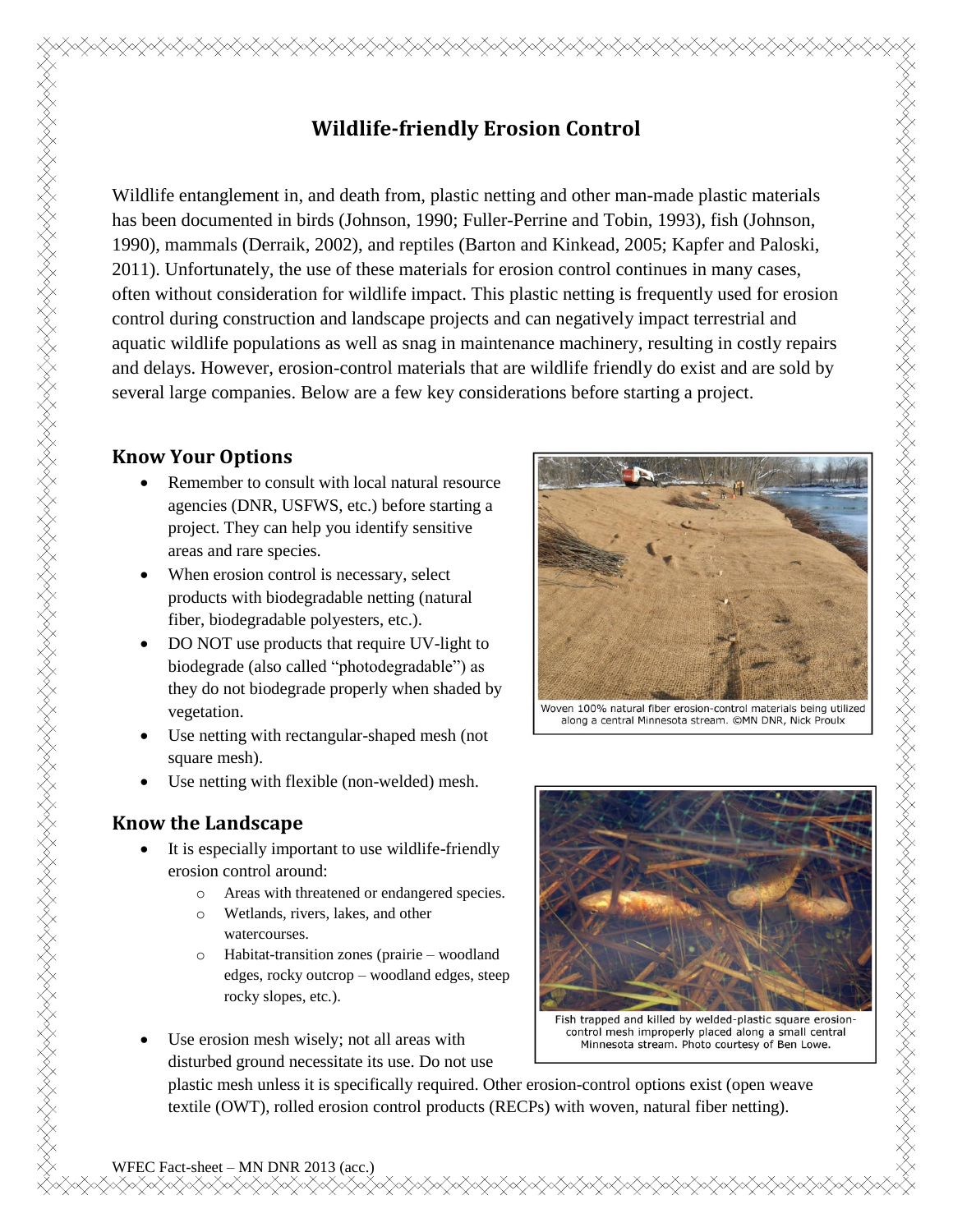# **Wildlife-friendly Erosion Control**

Wildlife entanglement in, and death from, plastic netting and other man-made plastic materials has been documented in birds (Johnson, 1990; Fuller-Perrine and Tobin, 1993), fish (Johnson, 1990), mammals (Derraik, 2002), and reptiles (Barton and Kinkead, 2005; Kapfer and Paloski, 2011). Unfortunately, the use of these materials for erosion control continues in many cases, often without consideration for wildlife impact. This plastic netting is frequently used for erosion control during construction and landscape projects and can negatively impact terrestrial and aquatic wildlife populations as well as snag in maintenance machinery, resulting in costly repairs and delays. However, erosion-control materials that are wildlife friendly do exist and are sold by several large companies. Below are a few key considerations before starting a project.

#### **Know Your Options**

- Remember to consult with local natural resource agencies (DNR, USFWS, etc.) before starting a project. They can help you identify sensitive areas and rare species.
- When erosion control is necessary, select products with biodegradable netting (natural fiber, biodegradable polyesters, etc.).
- DO NOT use products that require UV-light to biodegrade (also called "photodegradable") as they do not biodegrade properly when shaded by vegetation.
- Use netting with rectangular-shaped mesh (not square mesh).
- Use netting with flexible (non-welded) mesh.

#### **Know the Landscape**

- It is especially important to use wildlife-friendly erosion control around:
	- o Areas with threatened or endangered species.
	- o Wetlands, rivers, lakes, and other watercourses.
	- o Habitat-transition zones (prairie woodland edges, rocky outcrop – woodland edges, steep rocky slopes, etc.).
- Use erosion mesh wisely; not all areas with disturbed ground necessitate its use. Do not use

plastic mesh unless it is specifically required. Other erosion-control options exist (open weave textile (OWT), rolled erosion control products (RECPs) with woven, natural fiber netting).